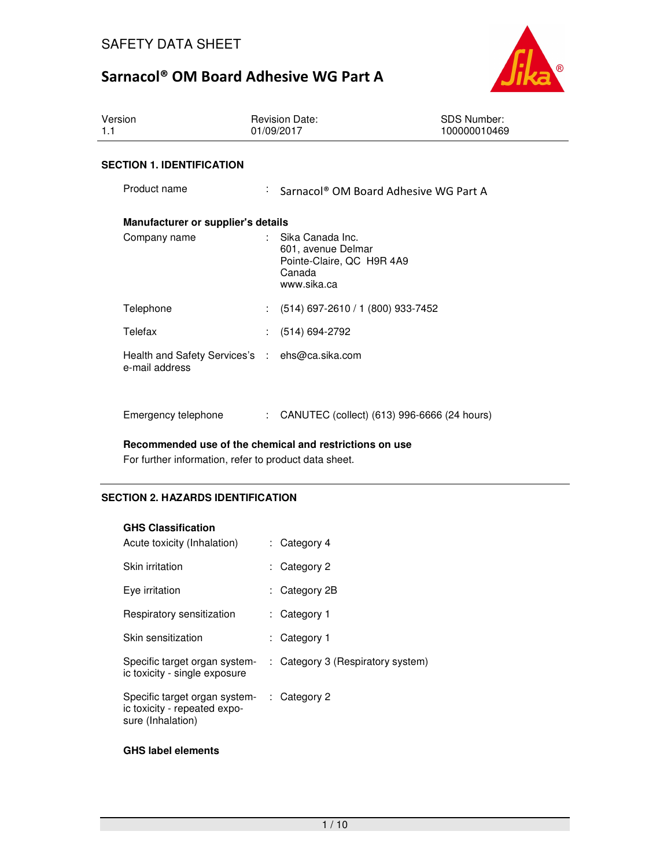

| Version<br>1.1                                                   | <b>Revision Date:</b><br>01/09/2017                                                          | <b>SDS Number:</b><br>100000010469 |  |  |
|------------------------------------------------------------------|----------------------------------------------------------------------------------------------|------------------------------------|--|--|
| <b>SECTION 1. IDENTIFICATION</b>                                 |                                                                                              |                                    |  |  |
| Product name                                                     | ÷.<br>Sarnacol <sup>®</sup> OM Board Adhesive WG Part A                                      |                                    |  |  |
| Manufacturer or supplier's details                               |                                                                                              |                                    |  |  |
| Company name                                                     | Sika Canada Inc.<br>601, avenue Delmar<br>Pointe-Claire, QC H9R 4A9<br>Canada<br>www.sika.ca |                                    |  |  |
| Telephone                                                        | $(514)$ 697-2610 / 1 (800) 933-7452<br>$\mathcal{L}^{\mathcal{L}}$                           |                                    |  |  |
| Telefax                                                          | (514) 694-2792                                                                               |                                    |  |  |
| Health and Safety Services's : ehs@ca.sika.com<br>e-mail address |                                                                                              |                                    |  |  |
| Emergency telephone                                              | CANUTEC (collect) (613) 996-6666 (24 hours)<br>÷.                                            |                                    |  |  |

### **Recommended use of the chemical and restrictions on use**

For further information, refer to product data sheet.

## **SECTION 2. HAZARDS IDENTIFICATION**

#### **GHS Classification**

| Acute toxicity (Inhalation)                                                        |    | : Category 4                      |
|------------------------------------------------------------------------------------|----|-----------------------------------|
| Skin irritation                                                                    |    | : Category 2                      |
| Eye irritation                                                                     |    | : Category 2B                     |
| Respiratory sensitization                                                          |    | : Category 1                      |
| Skin sensitization                                                                 | t. | Category 1                        |
| Specific target organ system-<br>ic toxicity - single exposure                     |    | : Category 3 (Respiratory system) |
| Specific target organ system-<br>ic toxicity - repeated expo-<br>sure (Inhalation) |    | $\therefore$ Category 2           |

### **GHS label elements**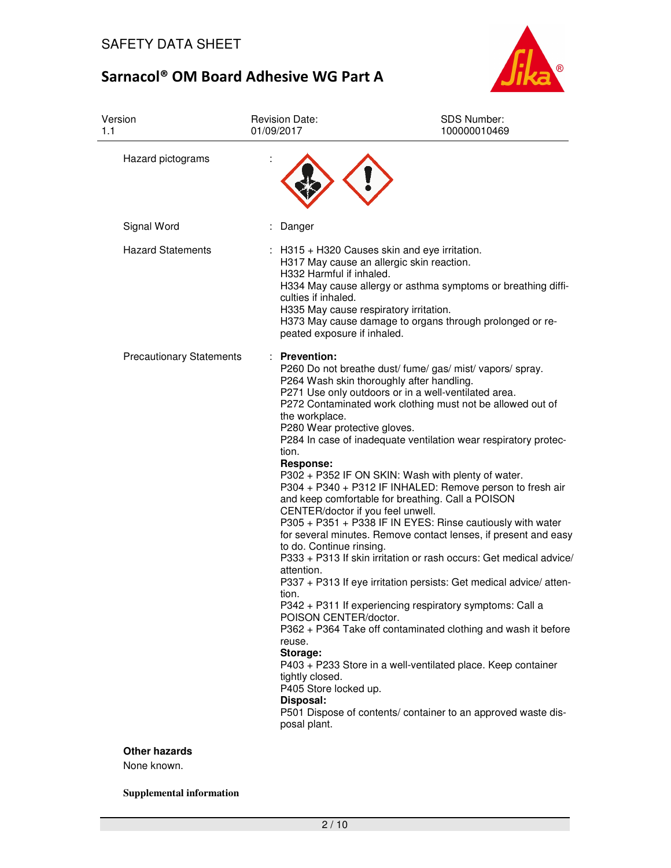

| Version<br>1.1                  | <b>Revision Date:</b><br>01/09/2017                                                                                                                                                                                                                                                                               | <b>SDS Number:</b><br>100000010469                                                                                                                                                                                                                                                                                                                                                                                                                                                                                                                                                                                                                                                                                                                                                                                                                                                                                                                                                                                 |
|---------------------------------|-------------------------------------------------------------------------------------------------------------------------------------------------------------------------------------------------------------------------------------------------------------------------------------------------------------------|--------------------------------------------------------------------------------------------------------------------------------------------------------------------------------------------------------------------------------------------------------------------------------------------------------------------------------------------------------------------------------------------------------------------------------------------------------------------------------------------------------------------------------------------------------------------------------------------------------------------------------------------------------------------------------------------------------------------------------------------------------------------------------------------------------------------------------------------------------------------------------------------------------------------------------------------------------------------------------------------------------------------|
| Hazard pictograms               |                                                                                                                                                                                                                                                                                                                   |                                                                                                                                                                                                                                                                                                                                                                                                                                                                                                                                                                                                                                                                                                                                                                                                                                                                                                                                                                                                                    |
| Signal Word                     | Danger                                                                                                                                                                                                                                                                                                            |                                                                                                                                                                                                                                                                                                                                                                                                                                                                                                                                                                                                                                                                                                                                                                                                                                                                                                                                                                                                                    |
| <b>Hazard Statements</b>        | H332 Harmful if inhaled.<br>culties if inhaled.<br>H335 May cause respiratory irritation.<br>peated exposure if inhaled.                                                                                                                                                                                          | H315 + H320 Causes skin and eye irritation.<br>H317 May cause an allergic skin reaction.<br>H334 May cause allergy or asthma symptoms or breathing diffi-<br>H373 May cause damage to organs through prolonged or re-                                                                                                                                                                                                                                                                                                                                                                                                                                                                                                                                                                                                                                                                                                                                                                                              |
| <b>Precautionary Statements</b> | <b>Prevention:</b><br>the workplace.<br>P280 Wear protective gloves.<br>tion.<br><b>Response:</b><br>CENTER/doctor if you feel unwell.<br>to do. Continue rinsing.<br>attention.<br>tion.<br>POISON CENTER/doctor.<br>reuse.<br>Storage:<br>tightly closed.<br>P405 Store locked up.<br>Disposal:<br>posal plant. | P260 Do not breathe dust/ fume/ gas/ mist/ vapors/ spray.<br>P264 Wash skin thoroughly after handling.<br>P271 Use only outdoors or in a well-ventilated area.<br>P272 Contaminated work clothing must not be allowed out of<br>P284 In case of inadequate ventilation wear respiratory protec-<br>P302 + P352 IF ON SKIN: Wash with plenty of water.<br>P304 + P340 + P312 IF INHALED: Remove person to fresh air<br>and keep comfortable for breathing. Call a POISON<br>P305 + P351 + P338 IF IN EYES: Rinse cautiously with water<br>for several minutes. Remove contact lenses, if present and easy<br>P333 + P313 If skin irritation or rash occurs: Get medical advice/<br>P337 + P313 If eye irritation persists: Get medical advice/ atten-<br>P342 + P311 If experiencing respiratory symptoms: Call a<br>P362 + P364 Take off contaminated clothing and wash it before<br>P403 + P233 Store in a well-ventilated place. Keep container<br>P501 Dispose of contents/ container to an approved waste dis- |

## **Other hazards**

None known.

**Supplemental information**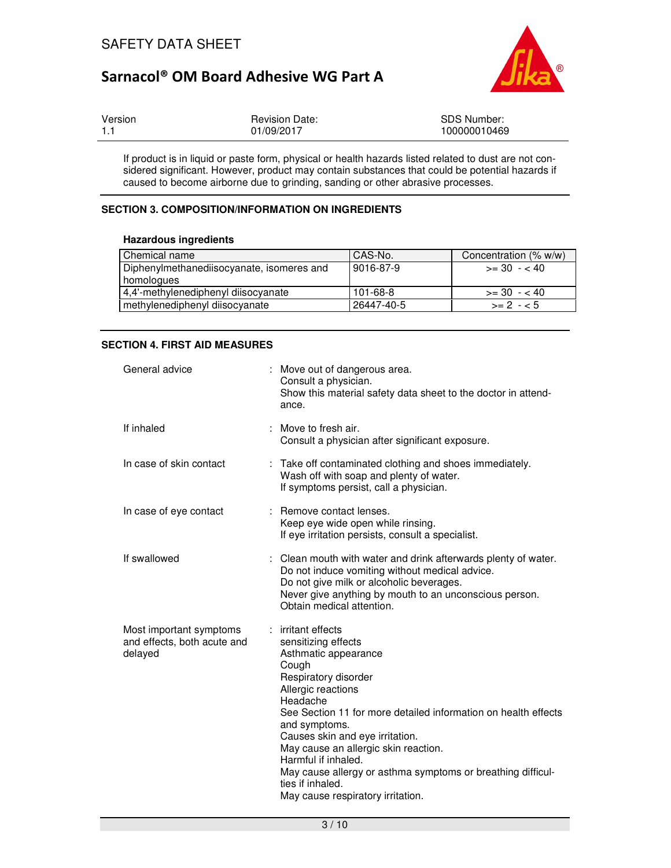

| Version | <b>Revision Date:</b> | <b>SDS Number:</b> |
|---------|-----------------------|--------------------|
| $-1.1$  | 01/09/2017            | 100000010469       |

If product is in liquid or paste form, physical or health hazards listed related to dust are not considered significant. However, product may contain substances that could be potential hazards if caused to become airborne due to grinding, sanding or other abrasive processes.

## **SECTION 3. COMPOSITION/INFORMATION ON INGREDIENTS**

#### **Hazardous ingredients**

| Chemical name                             | CAS-No.    | Concentration (% w/w) |
|-------------------------------------------|------------|-----------------------|
| Diphenylmethanediisocyanate, isomeres and | 9016-87-9  | $\geq$ 30 $-$ < 40    |
| homologues                                |            |                       |
| 4,4'-methylenediphenyl diisocyanate       | 101-68-8   | $>=$ 30 $-$ < 40      |
| methylenediphenyl diisocyanate            | 26447-40-5 | $>= 2 - 5$            |

## **SECTION 4. FIRST AID MEASURES**

| General advice                                                    |   | Move out of dangerous area.<br>Consult a physician.<br>Show this material safety data sheet to the doctor in attend-<br>ance.                                                                                                                                                                                                                                                                                                                   |
|-------------------------------------------------------------------|---|-------------------------------------------------------------------------------------------------------------------------------------------------------------------------------------------------------------------------------------------------------------------------------------------------------------------------------------------------------------------------------------------------------------------------------------------------|
| If inhaled                                                        |   | Move to fresh air.<br>Consult a physician after significant exposure.                                                                                                                                                                                                                                                                                                                                                                           |
| In case of skin contact                                           | ÷ | Take off contaminated clothing and shoes immediately.<br>Wash off with soap and plenty of water.<br>If symptoms persist, call a physician.                                                                                                                                                                                                                                                                                                      |
| In case of eye contact                                            | ÷ | Remove contact lenses.<br>Keep eye wide open while rinsing.<br>If eye irritation persists, consult a specialist.                                                                                                                                                                                                                                                                                                                                |
| If swallowed                                                      |   | Clean mouth with water and drink afterwards plenty of water.<br>Do not induce vomiting without medical advice.<br>Do not give milk or alcoholic beverages.<br>Never give anything by mouth to an unconscious person.<br>Obtain medical attention.                                                                                                                                                                                               |
| Most important symptoms<br>and effects, both acute and<br>delayed | ÷ | irritant effects<br>sensitizing effects<br>Asthmatic appearance<br>Cough<br>Respiratory disorder<br>Allergic reactions<br>Headache<br>See Section 11 for more detailed information on health effects<br>and symptoms.<br>Causes skin and eye irritation.<br>May cause an allergic skin reaction.<br>Harmful if inhaled.<br>May cause allergy or asthma symptoms or breathing difficul-<br>ties if inhaled.<br>May cause respiratory irritation. |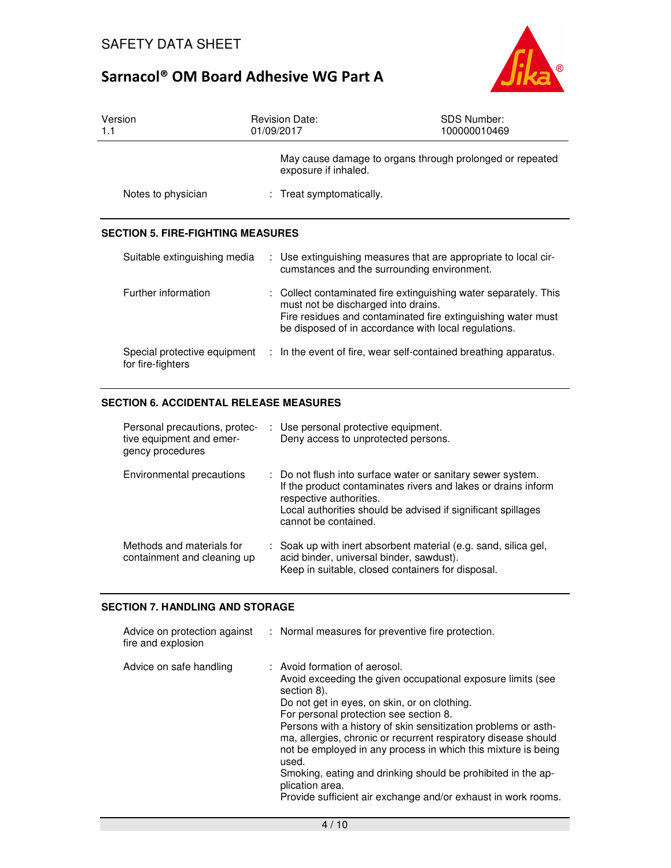

| Version<br>1.1                                    | <b>Revision Date:</b><br>01/09/2017                                                                                                                             | <b>SDS Number:</b><br>100000010469                           |
|---------------------------------------------------|-----------------------------------------------------------------------------------------------------------------------------------------------------------------|--------------------------------------------------------------|
|                                                   | exposure if inhaled.                                                                                                                                            | May cause damage to organs through prolonged or repeated     |
| Notes to physician                                | : Treat symptomatically.                                                                                                                                        |                                                              |
| <b>SECTION 5. FIRE-FIGHTING MEASURES</b>          |                                                                                                                                                                 |                                                              |
| Suitable extinguishing media                      | : Use extinguishing measures that are appropriate to local cir-<br>cumstances and the surrounding environment.                                                  |                                                              |
| Further information                               | : Collect contaminated fire extinguishing water separately. This<br>must not be discharged into drains.<br>be disposed of in accordance with local regulations. | Fire residues and contaminated fire extinguishing water must |
| Special protective equipment<br>for fire-fighters | : In the event of fire, wear self-contained breathing apparatus.                                                                                                |                                                              |

## **SECTION 6. ACCIDENTAL RELEASE MEASURES**

| Personal precautions, protec-<br>tive equipment and emer-<br>gency procedures | : Use personal protective equipment.<br>Deny access to unprotected persons.                                                                                                                                                                     |
|-------------------------------------------------------------------------------|-------------------------------------------------------------------------------------------------------------------------------------------------------------------------------------------------------------------------------------------------|
| Environmental precautions                                                     | : Do not flush into surface water or sanitary sewer system.<br>If the product contaminates rivers and lakes or drains inform<br>respective authorities.<br>Local authorities should be advised if significant spillages<br>cannot be contained. |
| Methods and materials for<br>containment and cleaning up                      | : Soak up with inert absorbent material (e.g. sand, silica gel,<br>acid binder, universal binder, sawdust).<br>Keep in suitable, closed containers for disposal.                                                                                |

### **SECTION 7. HANDLING AND STORAGE**

| Advice on protection against<br>fire and explosion | : Normal measures for preventive fire protection.                                                                                                                                                                                                                                                                                                                                                                                                                                                                                                                       |
|----------------------------------------------------|-------------------------------------------------------------------------------------------------------------------------------------------------------------------------------------------------------------------------------------------------------------------------------------------------------------------------------------------------------------------------------------------------------------------------------------------------------------------------------------------------------------------------------------------------------------------------|
| Advice on safe handling                            | : Avoid formation of aerosol.<br>Avoid exceeding the given occupational exposure limits (see<br>section 8).<br>Do not get in eyes, on skin, or on clothing.<br>For personal protection see section 8.<br>Persons with a history of skin sensitization problems or asth-<br>ma, allergies, chronic or recurrent respiratory disease should<br>not be employed in any process in which this mixture is being<br>used.<br>Smoking, eating and drinking should be prohibited in the ap-<br>plication area.<br>Provide sufficient air exchange and/or exhaust in work rooms. |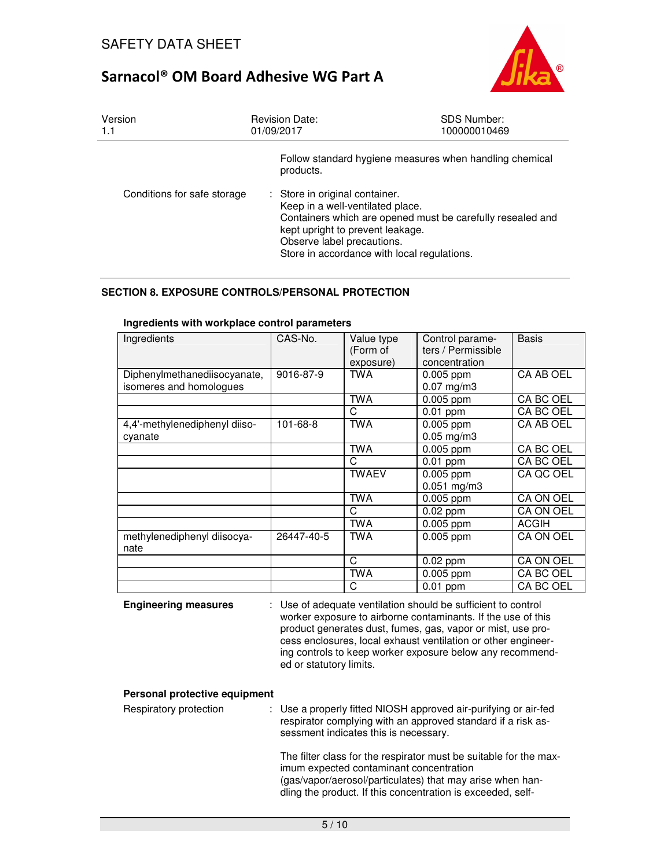

| Version<br>1.1              | <b>Revision Date:</b><br>01/09/2017                                                                                                                                                                                                               | <b>SDS Number:</b><br>100000010469 |
|-----------------------------|---------------------------------------------------------------------------------------------------------------------------------------------------------------------------------------------------------------------------------------------------|------------------------------------|
|                             | Follow standard hygiene measures when handling chemical<br>products.                                                                                                                                                                              |                                    |
| Conditions for safe storage | : Store in original container.<br>Keep in a well-ventilated place.<br>Containers which are opened must be carefully resealed and<br>kept upright to prevent leakage.<br>Observe label precautions.<br>Store in accordance with local regulations. |                                    |

## **SECTION 8. EXPOSURE CONTROLS/PERSONAL PROTECTION**

| Ingredients                                             | CAS-No.        | Value type<br>(Form of<br>exposure) | Control parame-<br>ters / Permissible<br>concentration | <b>Basis</b> |
|---------------------------------------------------------|----------------|-------------------------------------|--------------------------------------------------------|--------------|
| Diphenylmethanediisocyanate,<br>isomeres and homologues | 9016-87-9      | <b>TWA</b>                          | $0.005$ ppm<br>$0.07$ mg/m3                            | CA AB OEL    |
|                                                         |                | <b>TWA</b>                          | 0.005 ppm                                              | CA BC OEL    |
|                                                         |                | C                                   | $0.01$ ppm                                             | CA BC OEL    |
| 4,4'-methylenediphenyl diiso-<br>cyanate                | $101 - 68 - 8$ | <b>TWA</b>                          | 0.005 ppm<br>$0.05$ mg/m3                              | CA AB OEL    |
|                                                         |                | <b>TWA</b>                          | $0.005$ ppm                                            | CA BC OEL    |
|                                                         |                | C                                   | $0.01$ ppm                                             | CA BC OEL    |
|                                                         |                | <b>TWAEV</b>                        | $0.005$ ppm<br>$0.051$ mg/m3                           | CA QC OEL    |
|                                                         |                | <b>TWA</b>                          | $0.005$ ppm                                            | CA ON OEL    |
|                                                         |                | C                                   | $0.02$ ppm                                             | CA ON OEL    |
|                                                         |                | TWA                                 | $0.005$ ppm                                            | <b>ACGIH</b> |
| methylenediphenyl diisocya-<br>nate                     | 26447-40-5     | TWA                                 | 0.005 ppm                                              | CA ON OEL    |
|                                                         |                | C                                   | $0.02$ ppm                                             | CA ON OEL    |
|                                                         |                | TWA                                 | 0.005 ppm                                              | CA BC OEL    |
|                                                         |                | C                                   | $0.01$ ppm                                             | CA BC OEL    |

#### **Ingredients with workplace control parameters**

**Engineering measures** : Use of adequate ventilation should be sufficient to control worker exposure to airborne contaminants. If the use of this product generates dust, fumes, gas, vapor or mist, use process enclosures, local exhaust ventilation or other engineering controls to keep worker exposure below any recommended or statutory limits.

#### **Personal protective equipment**

| Respiratory protection | : Use a properly fitted NIOSH approved air-purifying or air-fed<br>respirator complying with an approved standard if a risk as-<br>sessment indicates this is necessary. |                                                                                                                                                                                                                                                                                                                                                                                                                                                                                                                                                                              |
|------------------------|--------------------------------------------------------------------------------------------------------------------------------------------------------------------------|------------------------------------------------------------------------------------------------------------------------------------------------------------------------------------------------------------------------------------------------------------------------------------------------------------------------------------------------------------------------------------------------------------------------------------------------------------------------------------------------------------------------------------------------------------------------------|
|                        |                                                                                                                                                                          | The filter class for the respirator must be suitable for the max-<br>imum expected contaminant concentration<br>$\mathcal{L} = \mathcal{L} = \mathcal{L} = \mathcal{L} = \mathcal{L} = \mathcal{L} = \mathcal{L} = \mathcal{L} = \mathcal{L} = \mathcal{L} = \mathcal{L} = \mathcal{L} = \mathcal{L} = \mathcal{L} = \mathcal{L} = \mathcal{L} = \mathcal{L} = \mathcal{L} = \mathcal{L} = \mathcal{L} = \mathcal{L} = \mathcal{L} = \mathcal{L} = \mathcal{L} = \mathcal{L} = \mathcal{L} = \mathcal{L} = \mathcal{L} = \mathcal{L} = \mathcal{L} = \mathcal{L} = \mathcal$ |

(gas/vapor/aerosol/particulates) that may arise when handling the product. If this concentration is exceeded, self-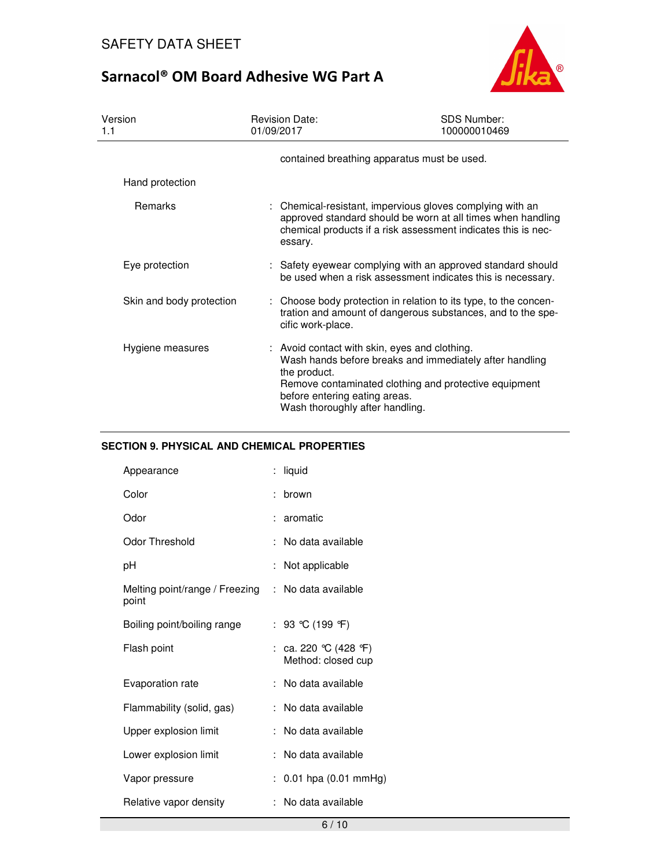

| Version<br>1.1           | <b>Revision Date:</b><br>01/09/2017                                                                                               | <b>SDS Number:</b><br>100000010469                                                                                                                                                        |
|--------------------------|-----------------------------------------------------------------------------------------------------------------------------------|-------------------------------------------------------------------------------------------------------------------------------------------------------------------------------------------|
|                          | contained breathing apparatus must be used.                                                                                       |                                                                                                                                                                                           |
| Hand protection          |                                                                                                                                   |                                                                                                                                                                                           |
| <b>Remarks</b>           | essary.                                                                                                                           | : Chemical-resistant, impervious gloves complying with an<br>approved standard should be worn at all times when handling<br>chemical products if a risk assessment indicates this is nec- |
| Eye protection           |                                                                                                                                   | : Safety eyewear complying with an approved standard should<br>be used when a risk assessment indicates this is necessary.                                                                |
| Skin and body protection | cific work-place.                                                                                                                 | : Choose body protection in relation to its type, to the concen-<br>tration and amount of dangerous substances, and to the spe-                                                           |
| Hygiene measures         | : Avoid contact with skin, eyes and clothing.<br>the product.<br>before entering eating areas.<br>Wash thoroughly after handling. | Wash hands before breaks and immediately after handling<br>Remove contaminated clothing and protective equipment                                                                          |

## **SECTION 9. PHYSICAL AND CHEMICAL PROPERTIES**

| Appearance                              | t. | liquid                                   |
|-----------------------------------------|----|------------------------------------------|
| Color                                   |    | brown                                    |
| Odor                                    |    | aromatic                                 |
| Odor Threshold                          | t. | No data available                        |
| рH                                      |    | Not applicable                           |
| Melting point/range / Freezing<br>point | ÷. | No data available                        |
| Boiling point/boiling range             |    | : 93 ℃ (199 °F)                          |
| Flash point                             |    | ca. 220 ℃ (428 °F)<br>Method: closed cup |
| Evaporation rate                        |    | No data available                        |
| Flammability (solid, gas)               |    | No data available                        |
| Upper explosion limit                   |    | No data available                        |
| Lower explosion limit                   | t. | No data available                        |
| Vapor pressure                          |    | $0.01$ hpa $(0.01$ mmHg)                 |
| Relative vapor density                  |    | No data available                        |
|                                         |    |                                          |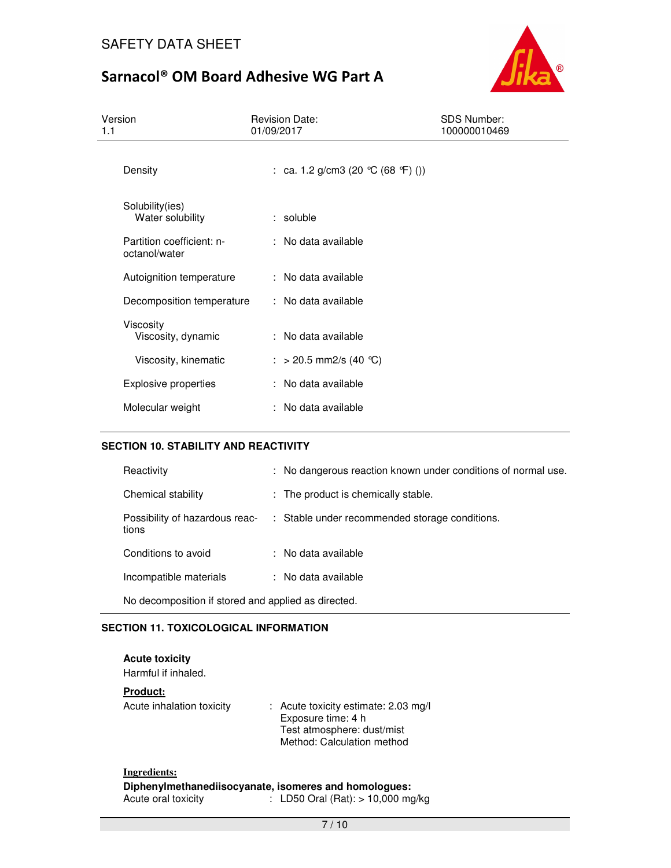

| Version<br>1.1                             | <b>Revision Date:</b><br>01/09/2017  | <b>SDS Number:</b><br>100000010469 |
|--------------------------------------------|--------------------------------------|------------------------------------|
| Density                                    | : ca. 1.2 g/cm3 (20 $°C$ (68 °F) ()) |                                    |
| Solubility(ies)<br>Water solubility        | $:$ soluble                          |                                    |
| Partition coefficient: n-<br>octanol/water | : No data available                  |                                    |
| Autoignition temperature                   | : No data available                  |                                    |
| Decomposition temperature                  | : No data available                  |                                    |
| Viscosity<br>Viscosity, dynamic            | : No data available                  |                                    |
| Viscosity, kinematic                       | : > 20.5 mm2/s (40 °C)               |                                    |
| Explosive properties                       | : No data available                  |                                    |
| Molecular weight                           | : No data available                  |                                    |

## **SECTION 10. STABILITY AND REACTIVITY**

| Reactivity                                          | : No dangerous reaction known under conditions of normal use. |
|-----------------------------------------------------|---------------------------------------------------------------|
| Chemical stability                                  | : The product is chemically stable.                           |
| Possibility of hazardous reac-<br>tions             | : Stable under recommended storage conditions.                |
| Conditions to avoid                                 | : No data available                                           |
| Incompatible materials                              | : No data available                                           |
| No decomposition if stored and applied as directed. |                                                               |

## **SECTION 11. TOXICOLOGICAL INFORMATION**

| <b>Acute toxicity</b><br>Harmful if inhaled. |                                                                                                                        |
|----------------------------------------------|------------------------------------------------------------------------------------------------------------------------|
| <b>Product:</b>                              |                                                                                                                        |
| Acute inhalation toxicity                    | : Acute toxicity estimate: 2.03 mg/l<br>Exposure time: 4 h<br>Test atmosphere: dust/mist<br>Method: Calculation method |
| Ingredients:                                 |                                                                                                                        |
| Acute oral toxicity                          | Diphenylmethanediisocyanate, isomeres and homologues:<br>: LD50 Oral (Rat): > 10,000 mg/kg                             |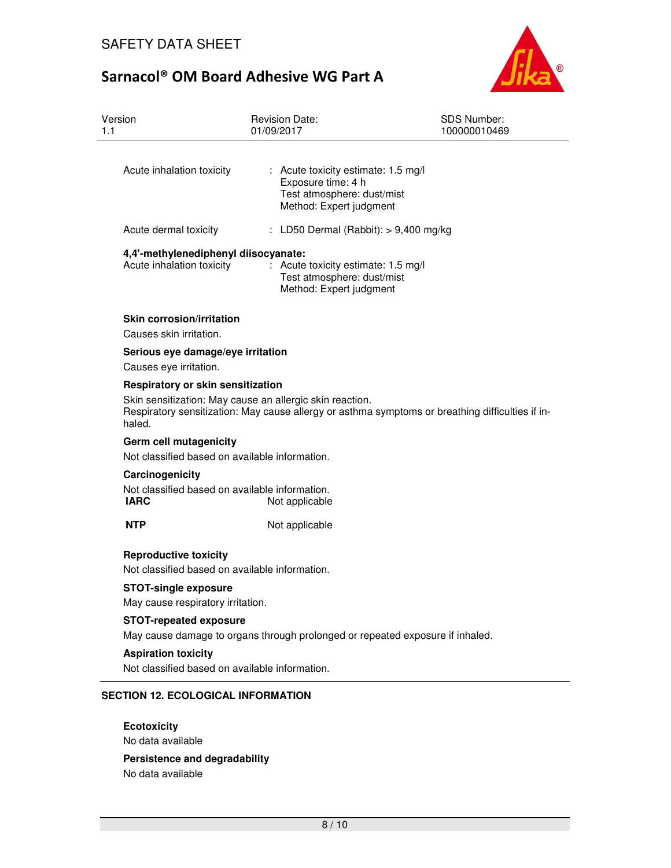

| Version<br>1.1                                                           | <b>Revision Date:</b><br>01/09/2017                                                                                                                                                               | <b>SDS Number:</b><br>100000010469 |  |  |
|--------------------------------------------------------------------------|---------------------------------------------------------------------------------------------------------------------------------------------------------------------------------------------------|------------------------------------|--|--|
| Acute inhalation toxicity                                                | : Acute toxicity estimate: 1.5 mg/l<br>Exposure time: 4 h<br>Test atmosphere: dust/mist<br>Method: Expert judgment                                                                                |                                    |  |  |
| Acute dermal toxicity                                                    | : LD50 Dermal (Rabbit): $> 9,400$ mg/kg                                                                                                                                                           |                                    |  |  |
| Acute inhalation toxicity                                                | 4,4'-methylenediphenyl diisocyanate:<br>: Acute toxicity estimate: 1.5 mg/l<br>Test atmosphere: dust/mist<br>Method: Expert judgment                                                              |                                    |  |  |
| <b>Skin corrosion/irritation</b><br>Causes skin irritation.              |                                                                                                                                                                                                   |                                    |  |  |
| Serious eye damage/eye irritation<br>Causes eye irritation.              |                                                                                                                                                                                                   |                                    |  |  |
| haled.                                                                   | Respiratory or skin sensitization<br>Skin sensitization: May cause an allergic skin reaction.<br>Respiratory sensitization: May cause allergy or asthma symptoms or breathing difficulties if in- |                                    |  |  |
|                                                                          | Germ cell mutagenicity<br>Not classified based on available information.                                                                                                                          |                                    |  |  |
| Carcinogenicity<br><b>IARC</b>                                           | Not classified based on available information.<br>Not applicable                                                                                                                                  |                                    |  |  |
| <b>NTP</b>                                                               | Not applicable                                                                                                                                                                                    |                                    |  |  |
| <b>Reproductive toxicity</b>                                             | Not classified based on available information.                                                                                                                                                    |                                    |  |  |
| <b>STOT-single exposure</b><br>May cause respiratory irritation.         |                                                                                                                                                                                                   |                                    |  |  |
|                                                                          | <b>STOT-repeated exposure</b><br>May cause damage to organs through prolonged or repeated exposure if inhaled.                                                                                    |                                    |  |  |
| <b>Aspiration toxicity</b>                                               | Not classified based on available information.                                                                                                                                                    |                                    |  |  |
| <b>SECTION 12. ECOLOGICAL INFORMATION</b>                                |                                                                                                                                                                                                   |                                    |  |  |
| <b>Ecotoxicity</b><br>No data available<br>Persistence and degradability |                                                                                                                                                                                                   |                                    |  |  |

No data available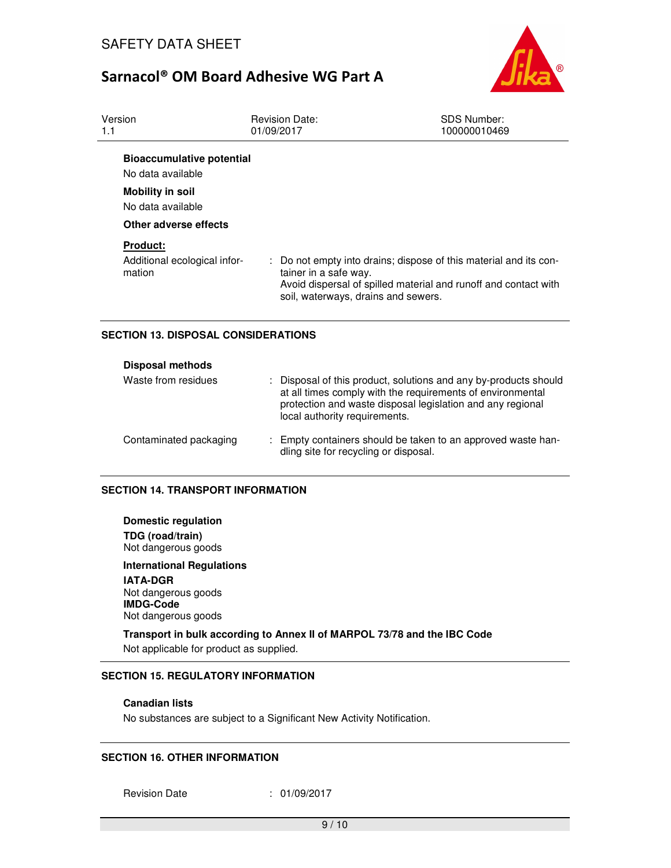

| Version<br>1.1                                            | <b>Revision Date:</b><br>01/09/2017                                                                                                                                                                  | <b>SDS Number:</b><br>100000010469 |
|-----------------------------------------------------------|------------------------------------------------------------------------------------------------------------------------------------------------------------------------------------------------------|------------------------------------|
| <b>Bioaccumulative potential</b><br>No data available     |                                                                                                                                                                                                      |                                    |
| <b>Mobility in soil</b><br>No data available              |                                                                                                                                                                                                      |                                    |
| Other adverse effects                                     |                                                                                                                                                                                                      |                                    |
| <b>Product:</b><br>Additional ecological infor-<br>mation | : Do not empty into drains; dispose of this material and its con-<br>tainer in a safe way.<br>Avoid dispersal of spilled material and runoff and contact with<br>soil, waterways, drains and sewers. |                                    |

## **SECTION 13. DISPOSAL CONSIDERATIONS**

| <b>Disposal methods</b> |                                                                                                                                                                                                                               |
|-------------------------|-------------------------------------------------------------------------------------------------------------------------------------------------------------------------------------------------------------------------------|
| Waste from residues     | : Disposal of this product, solutions and any by-products should<br>at all times comply with the requirements of environmental<br>protection and waste disposal legislation and any regional<br>local authority requirements. |
| Contaminated packaging  | : Empty containers should be taken to an approved waste han-<br>dling site for recycling or disposal.                                                                                                                         |

### **SECTION 14. TRANSPORT INFORMATION**

**Domestic regulation TDG (road/train)** Not dangerous goods

**International Regulations IATA-DGR** Not dangerous goods **IMDG-Code** Not dangerous goods

**Transport in bulk according to Annex II of MARPOL 73/78 and the IBC Code**  Not applicable for product as supplied.

## **SECTION 15. REGULATORY INFORMATION**

#### **Canadian lists**

No substances are subject to a Significant New Activity Notification.

### **SECTION 16. OTHER INFORMATION**

Revision Date : 01/09/2017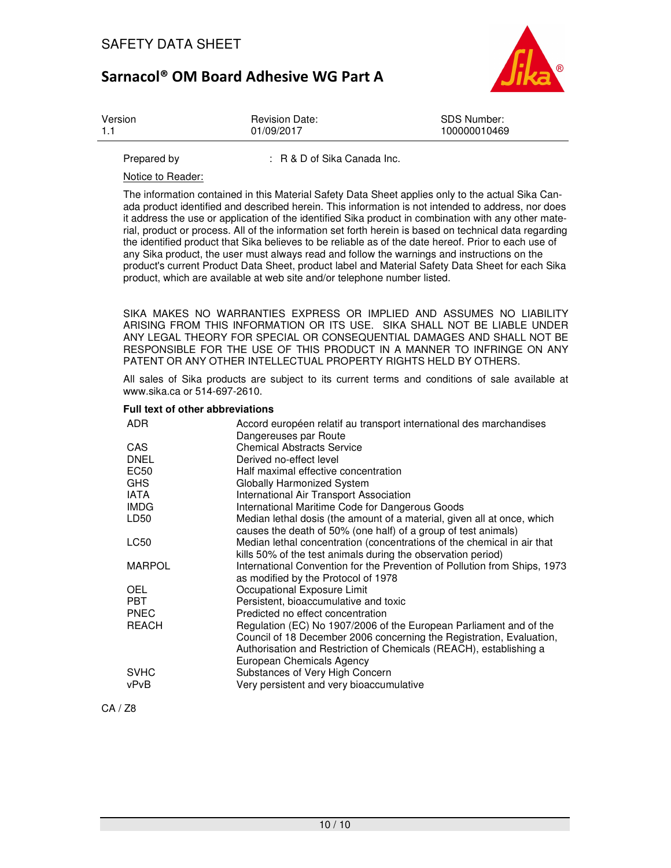

| Version | <b>Revision Date:</b> | SDS Number:  |
|---------|-----------------------|--------------|
| 1.1     | 01/09/2017            | 100000010469 |
|         |                       |              |

Prepared by : R & D of Sika Canada Inc.

Notice to Reader:

The information contained in this Material Safety Data Sheet applies only to the actual Sika Canada product identified and described herein. This information is not intended to address, nor does it address the use or application of the identified Sika product in combination with any other material, product or process. All of the information set forth herein is based on technical data regarding the identified product that Sika believes to be reliable as of the date hereof. Prior to each use of any Sika product, the user must always read and follow the warnings and instructions on the product's current Product Data Sheet, product label and Material Safety Data Sheet for each Sika product, which are available at web site and/or telephone number listed.

SIKA MAKES NO WARRANTIES EXPRESS OR IMPLIED AND ASSUMES NO LIABILITY ARISING FROM THIS INFORMATION OR ITS USE. SIKA SHALL NOT BE LIABLE UNDER ANY LEGAL THEORY FOR SPECIAL OR CONSEQUENTIAL DAMAGES AND SHALL NOT BE RESPONSIBLE FOR THE USE OF THIS PRODUCT IN A MANNER TO INFRINGE ON ANY PATENT OR ANY OTHER INTELLECTUAL PROPERTY RIGHTS HELD BY OTHERS.

All sales of Sika products are subject to its current terms and conditions of sale available at www.sika.ca or 514-697-2610.

#### **Full text of other abbreviations**

| ADR.             | Accord européen relatif au transport international des marchandises<br>Dangereuses par Route                                                                                                                                                  |
|------------------|-----------------------------------------------------------------------------------------------------------------------------------------------------------------------------------------------------------------------------------------------|
| CAS              | <b>Chemical Abstracts Service</b>                                                                                                                                                                                                             |
| <b>DNEL</b>      | Derived no-effect level                                                                                                                                                                                                                       |
| EC50             | Half maximal effective concentration                                                                                                                                                                                                          |
| <b>GHS</b>       | Globally Harmonized System                                                                                                                                                                                                                    |
| <b>IATA</b>      | International Air Transport Association                                                                                                                                                                                                       |
| <b>IMDG</b>      | International Maritime Code for Dangerous Goods                                                                                                                                                                                               |
| LD <sub>50</sub> | Median lethal dosis (the amount of a material, given all at once, which<br>causes the death of 50% (one half) of a group of test animals)                                                                                                     |
| LC50             | Median lethal concentration (concentrations of the chemical in air that<br>kills 50% of the test animals during the observation period)                                                                                                       |
| <b>MARPOL</b>    | International Convention for the Prevention of Pollution from Ships, 1973<br>as modified by the Protocol of 1978                                                                                                                              |
| <b>OEL</b>       | Occupational Exposure Limit                                                                                                                                                                                                                   |
| <b>PBT</b>       | Persistent, bioaccumulative and toxic                                                                                                                                                                                                         |
| <b>PNEC</b>      | Predicted no effect concentration                                                                                                                                                                                                             |
| <b>REACH</b>     | Regulation (EC) No 1907/2006 of the European Parliament and of the<br>Council of 18 December 2006 concerning the Registration, Evaluation,<br>Authorisation and Restriction of Chemicals (REACH), establishing a<br>European Chemicals Agency |
| <b>SVHC</b>      | Substances of Very High Concern                                                                                                                                                                                                               |
| vPvB             | Very persistent and very bioaccumulative                                                                                                                                                                                                      |

CA / Z8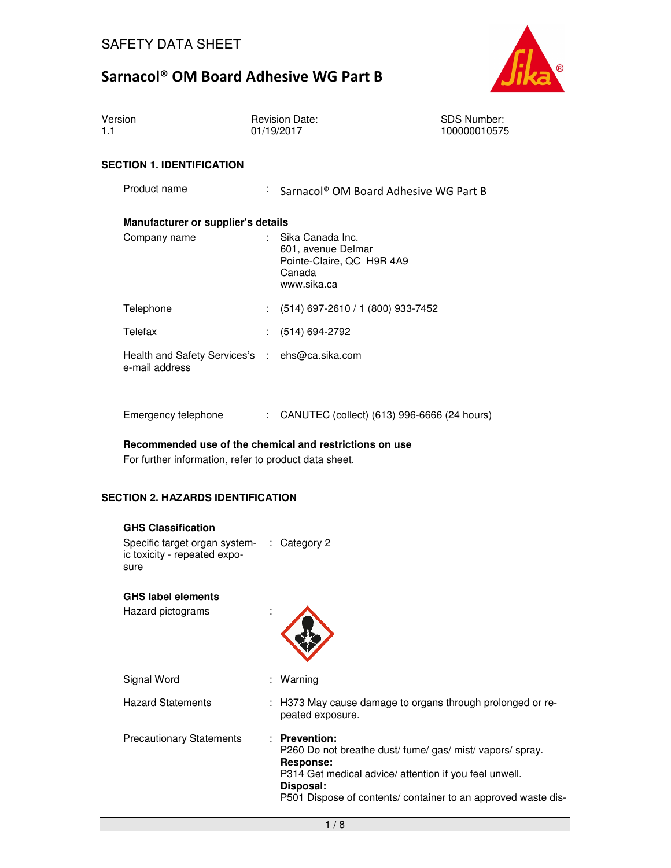

| Version<br>1.1 |                                                                  |                            | <b>Revision Date:</b><br>01/19/2017                                                          | <b>SDS Number:</b><br>100000010575 |
|----------------|------------------------------------------------------------------|----------------------------|----------------------------------------------------------------------------------------------|------------------------------------|
|                | <b>SECTION 1. IDENTIFICATION</b>                                 |                            |                                                                                              |                                    |
|                | Product name                                                     | $\mathcal{L}^{\text{max}}$ | Sarnacol <sup>®</sup> OM Board Adhesive WG Part B                                            |                                    |
|                | Manufacturer or supplier's details                               |                            |                                                                                              |                                    |
|                | Company name                                                     |                            | Sika Canada Inc.<br>601, avenue Delmar<br>Pointe-Claire, QC H9R 4A9<br>Canada<br>www.sika.ca |                                    |
|                | Telephone                                                        |                            | (514) 697-2610 / 1 (800) 933-7452                                                            |                                    |
|                | Telefax                                                          |                            | (514) 694-2792                                                                               |                                    |
|                | Health and Safety Services's : ehs@ca.sika.com<br>e-mail address |                            |                                                                                              |                                    |
|                | Emergency telephone                                              | ÷.                         | CANUTEC (collect) (613) 996-6666 (24 hours)                                                  |                                    |

### **Recommended use of the chemical and restrictions on use**

For further information, refer to product data sheet.

## **SECTION 2. HAZARDS IDENTIFICATION**

## **GHS Classification**

Specific target organ system-: Category 2 ic toxicity - repeated exposure

### **GHS label elements**

Hazard pictograms :

Hazard Statements



| : H373 May cause damage to organs through prolonged or re- |
|------------------------------------------------------------|
| peated exposure.                                           |

Precautionary Statements : **Prevention:**  P260 Do not breathe dust/ fume/ gas/ mist/ vapors/ spray. **Response:** 

P314 Get medical advice/ attention if you feel unwell. **Disposal:** 

P501 Dispose of contents/ container to an approved waste dis-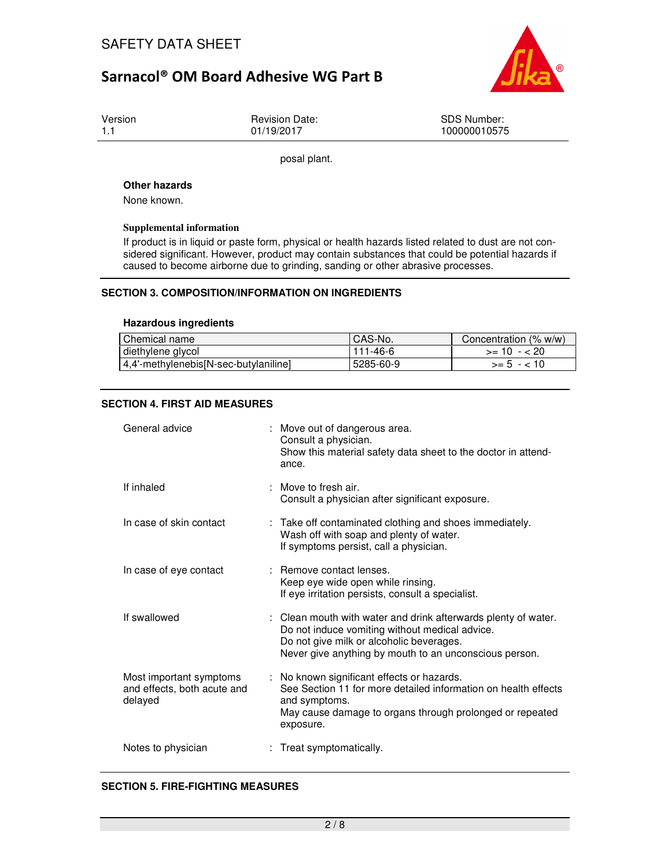

Version 1.1

Revision Date: 01/19/2017

SDS Number: 100000010575

posal plant.

#### **Other hazards**

None known.

#### **Supplemental information**

If product is in liquid or paste form, physical or health hazards listed related to dust are not considered significant. However, product may contain substances that could be potential hazards if caused to become airborne due to grinding, sanding or other abrasive processes.

## **SECTION 3. COMPOSITION/INFORMATION ON INGREDIENTS**

#### **Hazardous ingredients**

| Chemical name                          | I CAS-No. | Concentration (% w/w) |
|----------------------------------------|-----------|-----------------------|
| diethylene glycol                      | 111-46-6  | $>= 10 - 20$          |
| [4,4'-methylenebis[N-sec-butylaniline] | 5285-60-9 | $>= 5 - 10$           |

## **SECTION 4. FIRST AID MEASURES**

| General advice                                                    | : Move out of dangerous area.<br>Consult a physician.<br>Show this material safety data sheet to the doctor in attend-<br>ance.                                                                                        |
|-------------------------------------------------------------------|------------------------------------------------------------------------------------------------------------------------------------------------------------------------------------------------------------------------|
| If inhaled                                                        | $\therefore$ Move to fresh air.<br>Consult a physician after significant exposure.                                                                                                                                     |
| In case of skin contact                                           | : Take off contaminated clothing and shoes immediately.<br>Wash off with soap and plenty of water.<br>If symptoms persist, call a physician.                                                                           |
| In case of eye contact                                            | : Remove contact lenses.<br>Keep eye wide open while rinsing.<br>If eye irritation persists, consult a specialist.                                                                                                     |
| If swallowed                                                      | : Clean mouth with water and drink afterwards plenty of water.<br>Do not induce vomiting without medical advice.<br>Do not give milk or alcoholic beverages.<br>Never give anything by mouth to an unconscious person. |
| Most important symptoms<br>and effects, both acute and<br>delayed | : No known significant effects or hazards.<br>See Section 11 for more detailed information on health effects<br>and symptoms.<br>May cause damage to organs through prolonged or repeated<br>exposure.                 |
| Notes to physician                                                | Treat symptomatically.                                                                                                                                                                                                 |

### **SECTION 5. FIRE-FIGHTING MEASURES**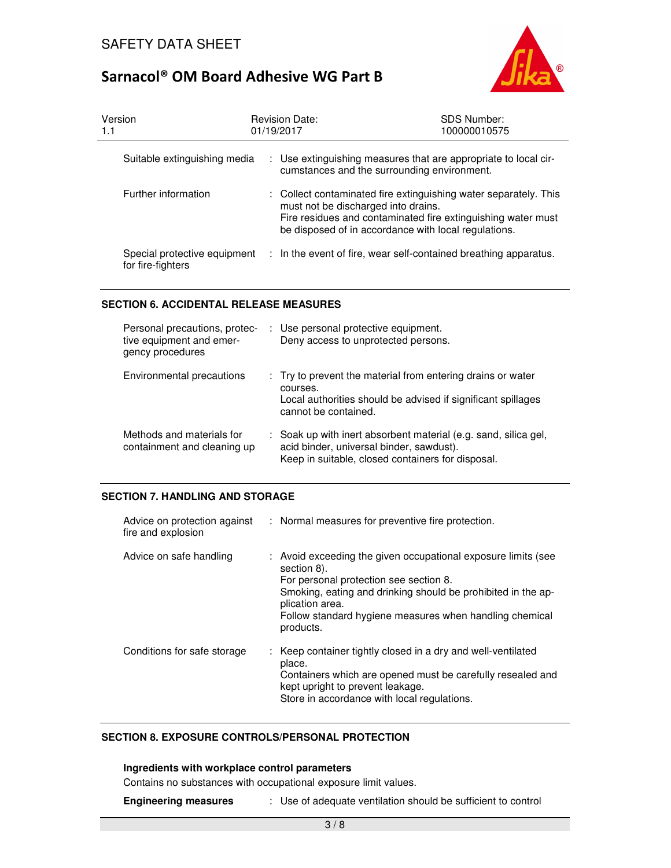

| Version<br>1.1                                    | <b>Revision Date:</b><br>01/19/2017 | <b>SDS Number:</b><br>100000010575                                                                                                                                                                                              |
|---------------------------------------------------|-------------------------------------|---------------------------------------------------------------------------------------------------------------------------------------------------------------------------------------------------------------------------------|
| Suitable extinguishing media                      |                                     | : Use extinguishing measures that are appropriate to local cir-<br>cumstances and the surrounding environment.                                                                                                                  |
| Further information                               |                                     | : Collect contaminated fire extinguishing water separately. This<br>must not be discharged into drains.<br>Fire residues and contaminated fire extinguishing water must<br>be disposed of in accordance with local regulations. |
| Special protective equipment<br>for fire-fighters |                                     | : In the event of fire, wear self-contained breathing apparatus.                                                                                                                                                                |

## **SECTION 6. ACCIDENTAL RELEASE MEASURES**

| Personal precautions, protec-<br>tive equipment and emer-<br>gency procedures | : Use personal protective equipment.<br>Deny access to unprotected persons.                                                                                      |
|-------------------------------------------------------------------------------|------------------------------------------------------------------------------------------------------------------------------------------------------------------|
| Environmental precautions                                                     | : Try to prevent the material from entering drains or water<br>courses.<br>Local authorities should be advised if significant spillages<br>cannot be contained.  |
| Methods and materials for<br>containment and cleaning up                      | : Soak up with inert absorbent material (e.g. sand, silica gel,<br>acid binder, universal binder, sawdust).<br>Keep in suitable, closed containers for disposal. |

## **SECTION 7. HANDLING AND STORAGE**

| Advice on protection against<br>fire and explosion | : Normal measures for preventive fire protection.                                                                                                                                                                                                                                 |
|----------------------------------------------------|-----------------------------------------------------------------------------------------------------------------------------------------------------------------------------------------------------------------------------------------------------------------------------------|
| Advice on safe handling                            | : Avoid exceeding the given occupational exposure limits (see<br>section 8).<br>For personal protection see section 8.<br>Smoking, eating and drinking should be prohibited in the ap-<br>plication area.<br>Follow standard hygiene measures when handling chemical<br>products. |
| Conditions for safe storage                        | : Keep container tightly closed in a dry and well-ventilated<br>place.<br>Containers which are opened must be carefully resealed and<br>kept upright to prevent leakage.<br>Store in accordance with local regulations.                                                           |

## **SECTION 8. EXPOSURE CONTROLS/PERSONAL PROTECTION**

## **Ingredients with workplace control parameters**

Contains no substances with occupational exposure limit values.

**Engineering measures** : Use of adequate ventilation should be sufficient to control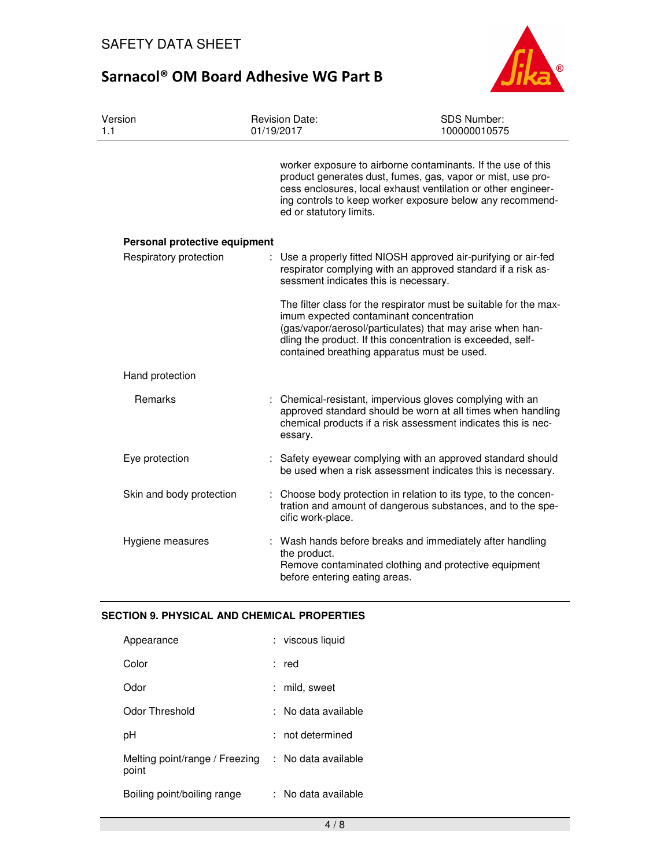

| Version<br>1.1                | <b>Revision Date:</b><br>01/19/2017           | SDS Number:<br>100000010575                                                                                                                                                                                                                               |  |
|-------------------------------|-----------------------------------------------|-----------------------------------------------------------------------------------------------------------------------------------------------------------------------------------------------------------------------------------------------------------|--|
|                               | ed or statutory limits.                       | worker exposure to airborne contaminants. If the use of this<br>product generates dust, fumes, gas, vapor or mist, use pro-<br>cess enclosures, local exhaust ventilation or other engineer-<br>ing controls to keep worker exposure below any recommend- |  |
| Personal protective equipment |                                               |                                                                                                                                                                                                                                                           |  |
| Respiratory protection        | sessment indicates this is necessary.         | Use a properly fitted NIOSH approved air-purifying or air-fed<br>respirator complying with an approved standard if a risk as-                                                                                                                             |  |
|                               | imum expected contaminant concentration       | The filter class for the respirator must be suitable for the max-<br>(gas/vapor/aerosol/particulates) that may arise when han-<br>dling the product. If this concentration is exceeded, self-<br>contained breathing apparatus must be used.              |  |
| Hand protection               |                                               |                                                                                                                                                                                                                                                           |  |
| Remarks                       | essary.                                       | Chemical-resistant, impervious gloves complying with an<br>approved standard should be worn at all times when handling<br>chemical products if a risk assessment indicates this is nec-                                                                   |  |
| Eye protection                |                                               | : Safety eyewear complying with an approved standard should<br>be used when a risk assessment indicates this is necessary.                                                                                                                                |  |
| Skin and body protection      | t.<br>cific work-place.                       | Choose body protection in relation to its type, to the concen-<br>tration and amount of dangerous substances, and to the spe-                                                                                                                             |  |
| Hygiene measures              | the product.<br>before entering eating areas. | : Wash hands before breaks and immediately after handling<br>Remove contaminated clothing and protective equipment                                                                                                                                        |  |

## **SECTION 9. PHYSICAL AND CHEMICAL PROPERTIES**

| Appearance                              | : viscous liquid    |
|-----------------------------------------|---------------------|
| Color                                   | : red               |
| Odor                                    | : mild, sweet       |
| Odor Threshold                          | No data available   |
| рH                                      | $:$ not determined  |
| Melting point/range / Freezing<br>point | : No data available |
| Boiling point/boiling range             | : No data available |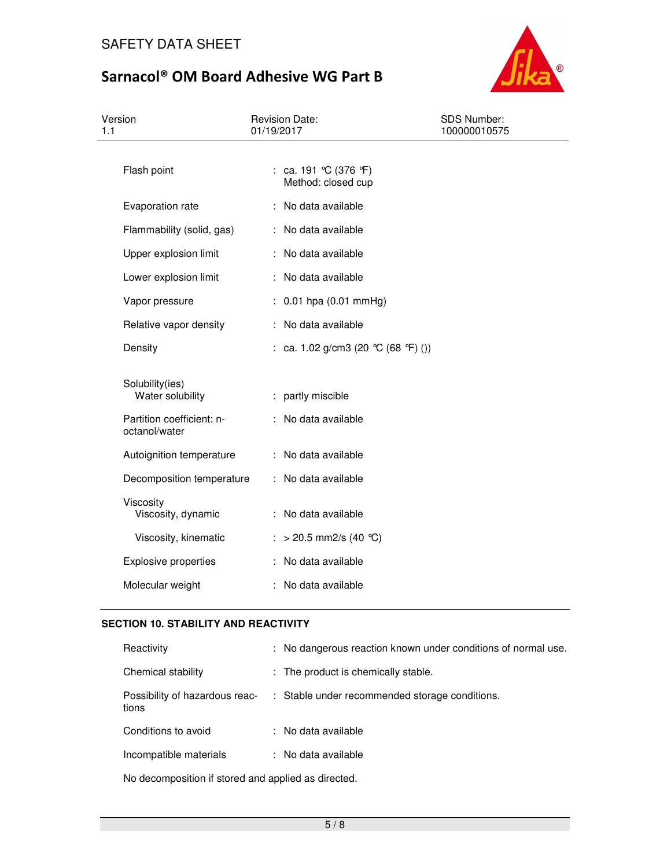

| Version<br>1.1                                                                    | <b>Revision Date:</b><br>01/19/2017           | <b>SDS Number:</b><br>100000010575 |
|-----------------------------------------------------------------------------------|-----------------------------------------------|------------------------------------|
| Flash point                                                                       | : ca. 191 °C (376 °F)<br>Method: closed cup   |                                    |
| Evaporation rate                                                                  | : No data available                           |                                    |
| Flammability (solid, gas)                                                         | : No data available                           |                                    |
| Upper explosion limit                                                             | : No data available                           |                                    |
| Lower explosion limit                                                             | : No data available                           |                                    |
| Vapor pressure                                                                    | $: 0.01$ hpa $(0.01$ mmHg)                    |                                    |
| Relative vapor density                                                            | : No data available                           |                                    |
| Density                                                                           | : ca. 1.02 g/cm3 (20 °C (68 °F) ())           |                                    |
| Solubility(ies)<br>Water solubility<br>Partition coefficient: n-<br>octanol/water | : partly miscible<br>: No data available      |                                    |
| Autoignition temperature                                                          | : No data available                           |                                    |
| Decomposition temperature                                                         | : No data available                           |                                    |
| Viscosity<br>Viscosity, dynamic<br>Viscosity, kinematic                           | : No data available<br>: > 20.5 mm2/s (40 °C) |                                    |
| <b>Explosive properties</b>                                                       | : No data available                           |                                    |
| Molecular weight                                                                  | No data available                             |                                    |

## **SECTION 10. STABILITY AND REACTIVITY**

| Reactivity                              | : No dangerous reaction known under conditions of normal use. |
|-----------------------------------------|---------------------------------------------------------------|
| Chemical stability                      | : The product is chemically stable.                           |
| Possibility of hazardous reac-<br>tions | : Stable under recommended storage conditions.                |
| Conditions to avoid                     | : No data available                                           |
| Incompatible materials                  | : No data available                                           |
|                                         |                                                               |

No decomposition if stored and applied as directed.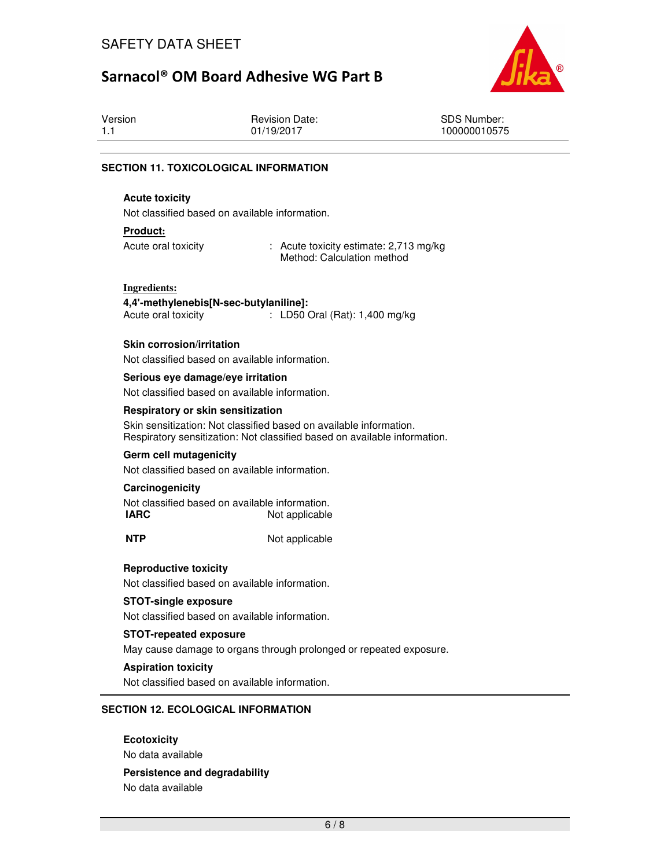

| Version | <b>Revision Date:</b><br>01/19/2017 | <b>SDS Number:</b><br>100000010575 |
|---------|-------------------------------------|------------------------------------|
|         |                                     |                                    |

#### **SECTION 11. TOXICOLOGICAL INFORMATION**

### **Acute toxicity**

Not classified based on available information.

#### **Product:**

Acute oral toxicity : Acute toxicity estimate: 2,713 mg/kg Method: Calculation method

## **Ingredients:**

**4,4'-methylenebis[N-sec-butylaniline]:**  Acute oral toxicity : LD50 Oral (Rat): 1,400 mg/kg

#### **Skin corrosion/irritation**

Not classified based on available information.

#### **Serious eye damage/eye irritation**

Not classified based on available information.

#### **Respiratory or skin sensitization**

Skin sensitization: Not classified based on available information. Respiratory sensitization: Not classified based on available information.

#### **Germ cell mutagenicity**

Not classified based on available information.

#### **Carcinogenicity**

Not classified based on available information. **IARC** Not applicable

**NTP** Not applicable

#### **Reproductive toxicity**

Not classified based on available information.

#### **STOT-single exposure**

Not classified based on available information.

#### **STOT-repeated exposure**

May cause damage to organs through prolonged or repeated exposure.

#### **Aspiration toxicity**

Not classified based on available information.

#### **SECTION 12. ECOLOGICAL INFORMATION**

**Ecotoxicity** 

No data available

#### **Persistence and degradability**

No data available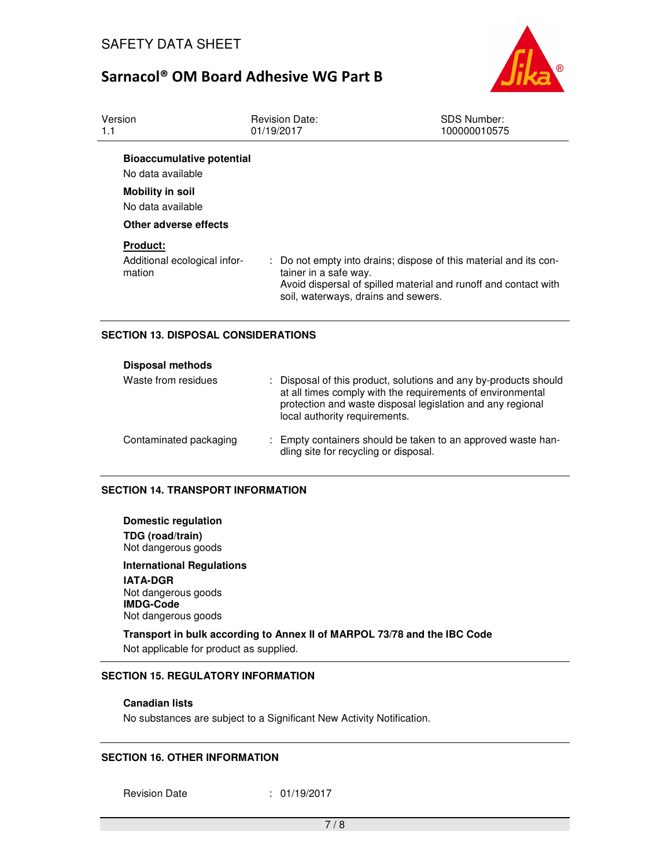

| Version<br>1.1                                            | <b>Revision Date:</b><br>01/19/2017                                                                                                                                                                  | <b>SDS Number:</b><br>100000010575 |  |
|-----------------------------------------------------------|------------------------------------------------------------------------------------------------------------------------------------------------------------------------------------------------------|------------------------------------|--|
| <b>Bioaccumulative potential</b><br>No data available     |                                                                                                                                                                                                      |                                    |  |
| <b>Mobility in soil</b><br>No data available              |                                                                                                                                                                                                      |                                    |  |
| Other adverse effects                                     |                                                                                                                                                                                                      |                                    |  |
| <b>Product:</b><br>Additional ecological infor-<br>mation | : Do not empty into drains; dispose of this material and its con-<br>tainer in a safe way.<br>Avoid dispersal of spilled material and runoff and contact with<br>soil, waterways, drains and sewers. |                                    |  |

## **SECTION 13. DISPOSAL CONSIDERATIONS**

| <b>Disposal methods</b> |                                                                                                                                                                                                                             |
|-------------------------|-----------------------------------------------------------------------------------------------------------------------------------------------------------------------------------------------------------------------------|
| Waste from residues     | Disposal of this product, solutions and any by-products should<br>at all times comply with the requirements of environmental<br>protection and waste disposal legislation and any regional<br>local authority requirements. |
| Contaminated packaging  | Empty containers should be taken to an approved waste han-<br>dling site for recycling or disposal.                                                                                                                         |

### **SECTION 14. TRANSPORT INFORMATION**

**Domestic regulation TDG (road/train)** Not dangerous goods

**International Regulations IATA-DGR** Not dangerous goods **IMDG-Code** Not dangerous goods

**Transport in bulk according to Annex II of MARPOL 73/78 and the IBC Code**  Not applicable for product as supplied.

## **SECTION 15. REGULATORY INFORMATION**

#### **Canadian lists**

No substances are subject to a Significant New Activity Notification.

### **SECTION 16. OTHER INFORMATION**

Revision Date : 01/19/2017